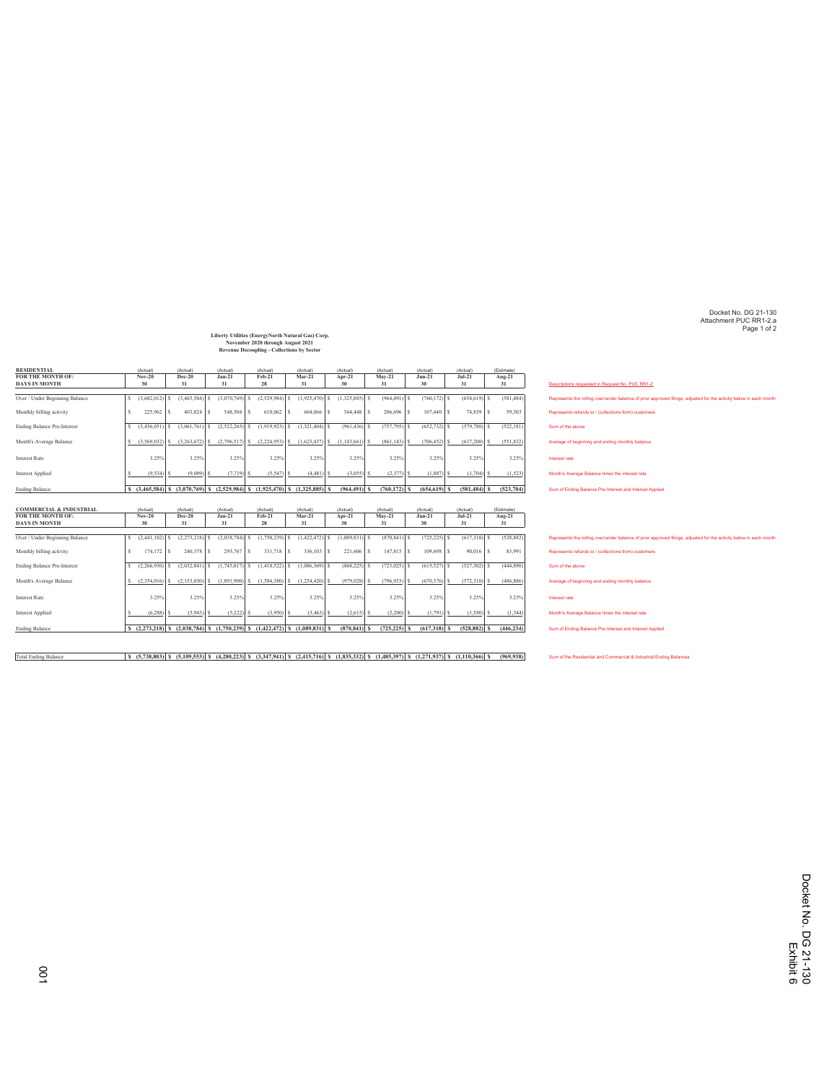Docket No. DG 21-130 Attachment PUC RR1-2.a Page 1 of 2

## **Liberty Utilities (EnergyNorth Natural Gas) Corp. November 2020 through August 2021 Revenue Decoupling - Collections by Sector**

| <b>RESIDENTIAL</b>                 | (Actual)         | (Actual)        | (Actual)                                           | (Actual)         | (Actual)                                                                                  | (Actual)       | (Actual)        | (Actual)        | (Actual)        | (Estimate)    |                                                                                                                                                                               |
|------------------------------------|------------------|-----------------|----------------------------------------------------|------------------|-------------------------------------------------------------------------------------------|----------------|-----------------|-----------------|-----------------|---------------|-------------------------------------------------------------------------------------------------------------------------------------------------------------------------------|
| FOR THE MONTH OF:                  | Nov-20           | Dec-20          | $Jan-21$                                           | Feb-21           | $Mar-21$                                                                                  | Apr-21         | $Mav-21$        | $Jun-21$        | $Jul-21$        | Aug-21        |                                                                                                                                                                               |
| <b>DAYS IN MONTH</b>               | 30               | 31              | 31                                                 | 28               | 31                                                                                        | 30             | 31              | 30              | 31              | 31            | Descriptions requested in Request No. PUC RR1-2                                                                                                                               |
|                                    |                  |                 |                                                    |                  |                                                                                           |                |                 |                 |                 |               |                                                                                                                                                                               |
| Over / Under Beginning Balance     | $(3,682,012)$ S  | (3,465,584)     | $(3,070,769)$ S                                    | $(2,529,984)$ \$ | $(1,925,470)$ \$                                                                          | (1,325,885)    | $(964, 491)$ \$ | $(760, 172)$ \$ | $(654, 619)$ \$ | (581, 484)    | Represents the rolling over/under balance of prior approved filings, adjusted for the activity below in each month                                                            |
| Monthly billing activity           | 225.962          | $403.824$ S     | 548,504 S                                          | 610.062          | 604,066<br>l \$<br>-S                                                                     | $364.448$ S    | 206,696 S       | $107.440$ S     | 74,839          | 59,303<br>-S. | Represents refunds to / (collections from) customers                                                                                                                          |
| <b>Ending Balance Pre-Interest</b> | $(3,456,051)$ \$ | (3,061,761)     | (2,522,265)                                        | $(1,919,923)$ \$ | $(1,321,404)$ \$                                                                          | (961, 436)     | $(757, 795)$ \$ | $(652, 732)$ \$ | $(579,780)$ S   | (522, 181)    | Sum of the above                                                                                                                                                              |
| Month's Average Balance            |                  |                 | $(3,569,032)$ \$ $(3,263,672)$ \$ $(2,796,517)$ \$ | $(2,224,953)$ \$ | $(1,623,437)$ \$ $(1,143,661)$                                                            |                | $(861, 143)$ \$ | $(706, 452)$ \$ | (617,200)       | (551, 832)    | Average of beginning and ending monthly balance                                                                                                                               |
| <b>Interest Rate</b>               | 3.25%            | 3.25%           | 3.25%                                              | 3.25%            | 3.25%                                                                                     | 3.25%          | 3.25%           | 3.25%           | 3.25%           | 3.25%         | Interest rate                                                                                                                                                                 |
| Interest Applied                   | $(9.534)$ S      | (9.009)         | (7.719)                                            | (5, 547)         | (4.481)                                                                                   | (3.055)        | (2.377)         | $(1.887)$ S     | (1.704)         | (1,523)       | Month's Average Balance times the interest rate                                                                                                                               |
| <b>Ending Balance</b>              |                  |                 |                                                    |                  | S (3,465,584) S (3,070,769) S (2,529,984) S (1,925,470) S (1,325,885) S                   | $(964, 491)$ S | $(760, 172)$ S  | $(654.619)$ S   | $(581, 484)$ S  | (523, 704)    | Sum of Ending Balance Pre-Interest and Interest Applied                                                                                                                       |
|                                    |                  |                 |                                                    |                  |                                                                                           |                |                 |                 |                 |               |                                                                                                                                                                               |
|                                    |                  |                 |                                                    |                  |                                                                                           |                |                 |                 |                 |               |                                                                                                                                                                               |
|                                    |                  |                 |                                                    |                  |                                                                                           |                |                 |                 |                 |               |                                                                                                                                                                               |
| <b>COMMERCIAL &amp; INDUSTRIAL</b> | (Actual)         | (Actual)        | (Actual)                                           | (Actual)         | (Actual)                                                                                  | (Actual)       | (Actual)        | (Actual)        | (Actual)        | (Estimate)    |                                                                                                                                                                               |
| FOR THE MONTH OF:                  | $Nov-20$         | Dec-20          | $Jan-21$                                           | Feb-21           | $Mar-21$                                                                                  | Apr-21         | $Mav-21$        | $Jun-21$        | $Jul-21$        | Aug-21        |                                                                                                                                                                               |
| <b>DAYS IN MONTH</b>               | 30               | 31              | 31                                                 | 28               | 31                                                                                        | 30             | 31              | 30              | 31              | 31            |                                                                                                                                                                               |
|                                    |                  |                 |                                                    |                  |                                                                                           |                |                 |                 |                 |               |                                                                                                                                                                               |
| Over / Under Beginning Balance     | $(2.441.102)$ S  | $(2.273.218)$ S | $(2.038, 784)$ S                                   | $(1,750,239)$ \$ | $(1,422,472)$ \$                                                                          | (1,089,831)    | $(870, 841)$ \$ | $(725, 225)$ \$ | $(617,318)$ \$  | (528, 882)    |                                                                                                                                                                               |
| Monthly billing activity           | $174.172$ S      | 240,378 S       | 293,767 S                                          | 331,718          | 336,103<br>Is.<br>s                                                                       | 221,606        | $147.815$ S     | 109,698         | 90,016<br>Ιs    | 83,991        | Represents refunds to / (collections from) customers                                                                                                                          |
| <b>Ending Balance Pre-Interest</b> | $(2,266,930)$ S  | $(2,032,841)$ S | $(1,745,017)$ \$                                   | $(1,418,522)$ \$ | $(1.086, 369)$ S                                                                          | (868, 225)     | $(723, 025)$ \$ | $(615,527)$ \$  | $(527,302)$ S   | (444, 890)    | Sum of the above                                                                                                                                                              |
| Month's Average Balance            |                  |                 | $(2,354,016)$ \$ $(2,153,030)$ \$ $(1,891,900)$ \$ | $(1,584,380)$ \$ | $(1,254,420)$ \$                                                                          | (979, 028)     | $(796.933)$ \$  | $(670, 376)$ \$ | $(572,310)$ \$  | (486,886)     | Average of beginning and ending monthly balance                                                                                                                               |
| <b>Interest Rate</b>               | 3.25%            | 3.25%           | 3.25%                                              | 3.25%            | 3.25%                                                                                     | 3.25%          | 3.25%           | 3.25%           | 3.25%           | 3.25%         | Interest rate                                                                                                                                                                 |
| Interest Applied                   | $(6.288)$ S      | (5.943)         | $(5,222)$ \$                                       | $(3.950)$ S      | $(3.463)$ S                                                                               | (2.615)        | $(2.200)$ S     | $(1.791)$ S     | $(1.580)$ S     | (1.344)       | Month's Average Balance times the interest rate                                                                                                                               |
| <b>Ending Balance</b>              |                  |                 |                                                    |                  | $S(2.273.218)$ $S(2.038.784)$ $S(1.750.239)$ $S(1.422.472)$ $S(1.089.831)$ $S(1.089.831)$ | $(870.841)$ S  | $(725.225)$ S   | $(617.318)$ S   | $(528.882)$ S   | (446, 234)    | Represents the rolling over/under balance of prior approved filings, adjusted for the activity below in each month<br>Sum of Ending Balance Pre-Interest and Interest Applied |

Total Ending Balance 5 (5,738,803) 5 (5,109,553) 5 (4,280,223) 5 (3,347,941) 5 (2,415,716) 5 (1,835,332) 5 (1,485,332) 5 (1,719,350) 5 (1,110,366) 5 (99,938) Sum of the Realidential and Commercial & Industrial Ending Balan